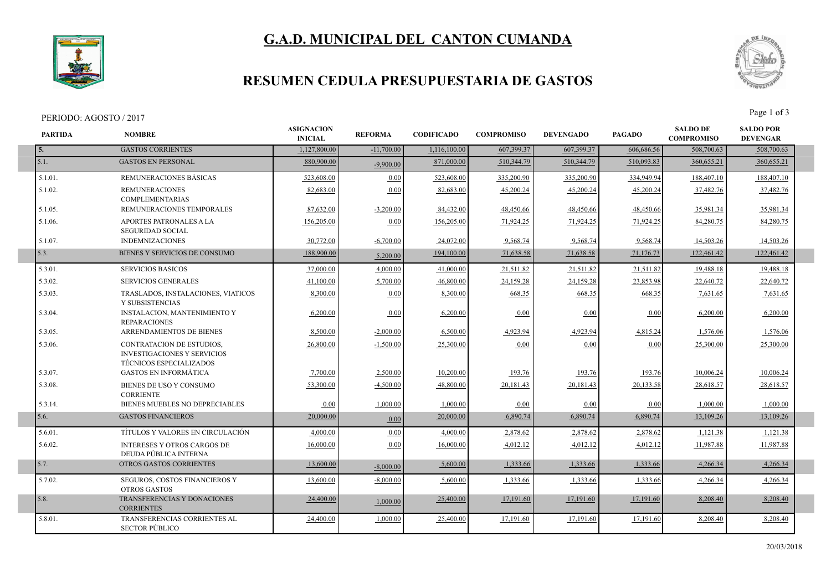# **G.A.D. MUNICIPAL DEL CANTON CUMANDA**



### **RESUMEN CEDULA PRESUPUESTARIA DE GASTOS**

#### PERIODO: AGOSTO / 2017<br>Page 1 of 3

I



| <b>PARTIDA</b> | <b>NOMBRE</b>                                                                                            | <b>ASIGNACION</b><br><b>INICIAL</b> | <b>REFORMA</b> | <b>CODIFICADO</b> | <b>COMPROMISO</b> | <b>DEVENGADO</b> | <b>PAGADO</b> | <b>SALDO DE</b><br><b>COMPROMISO</b> | <b>SALDO POR</b><br><b>DEVENGAR</b> |  |
|----------------|----------------------------------------------------------------------------------------------------------|-------------------------------------|----------------|-------------------|-------------------|------------------|---------------|--------------------------------------|-------------------------------------|--|
| 5.             | <b>GASTOS CORRIENTES</b>                                                                                 | 1.127.800.00                        | $-11,700.00$   | 1,116,100.00      | 607.399.37        | 607.399.37       | 606,686.56    | 508,700.63                           | 508,700.63                          |  |
| 5.1.           | <b>GASTOS EN PERSONAL</b>                                                                                | 880,900.00                          | $-9.900.00$    | 871,000.00        | 510,344.79        | 510.344.79       | 510.093.83    | 360,655.21                           | 360,655.21                          |  |
| 5.1.01.        | REMUNERACIONES BÁSICAS                                                                                   | 523,608.00                          | 0.00           | 523,608.00        | 335,200.90        | 335,200.90       | 334,949.94    | 188,407.10                           | 188,407.10                          |  |
| 5.1.02.        | <b>REMUNERACIONES</b><br><b>COMPLEMENTARIAS</b>                                                          | 82,683.00                           | 0.00           | 82,683.00         | 45,200.24         | 45,200.24        | 45,200.24     | 37,482.76                            | 37,482.76                           |  |
| 5.1.05.        | REMUNERACIONES TEMPORALES                                                                                | 87,632.00                           | $-3,200.00$    | 84,432.00         | 48,450.66         | 48,450.66        | 48,450.66     | 35,981.34                            | 35,981.34                           |  |
| 5.1.06.        | APORTES PATRONALES A LA<br><b>SEGURIDAD SOCIAL</b>                                                       | 156,205.00                          | 0.00           | 156,205.00        | 71,924.25         | 71,924.25        | 71,924.25     | 84,280.75                            | 84,280.75                           |  |
| 5.1.07.        | <b>INDEMNIZACIONES</b>                                                                                   | 30.772.00                           | $-6,700.00$    | 24,072.00         | 9,568.74          | 9,568.74         | 9,568.74      | 14,503.26                            | 14,503.26                           |  |
| 5.3.           | BIENES Y SERVICIOS DE CONSUMO                                                                            | 188,900.00                          | 5,200.00       | 194,100.00        | 71,638.58         | 71,638.58        | 71,176.73     | 122,461.42                           | 122,461.42                          |  |
| 5.3.01.        | <b>SERVICIOS BASICOS</b>                                                                                 | 37,000.00                           | 4,000.00       | 41,000.00         | 21,511.82         | 21,511.82        | 21,511.82     | 19,488.18                            | 19,488.18                           |  |
| 5.3.02.        | SERVICIOS GENERALES                                                                                      | 41,100.00                           | 5,700.00       | 46,800.00         | 24,159.28         | 24,159.28        | 23,853.98     | 22,640.72                            | 22,640.72                           |  |
| 5.3.03.        | TRASLADOS, INSTALACIONES, VIATICOS<br>Y SUBSISTENCIAS                                                    | 8,300.00                            | 0.00           | 8,300.00          | 668.35            | 668.35           | 668.35        | 7,631.65                             | 7,631.65                            |  |
| 5.3.04.        | <b>INSTALACION, MANTENIMIENTO Y</b><br><b>REPARACIONES</b>                                               | 6,200.00                            | 0.00           | 6,200.00          | 0.00              | 0.00             | 0.00          | 6,200.00                             | 6,200.00                            |  |
| 5.3.05.        | ARRENDAMIENTOS DE BIENES                                                                                 | 8,500.00                            | $-2,000.00$    | 6,500.00          | 4,923.94          | 4,923.94         | 4,815.24      | 1,576.06                             | 1,576.06                            |  |
| 5.3.06.        | <b>CONTRATACION DE ESTUDIOS,</b><br><b>INVESTIGACIONES Y SERVICIOS</b><br><b>TÉCNICOS ESPECIALIZADOS</b> | 26,800.00                           | $-1,500.00$    | 25,300.00         | 0.00              | 0.00             | 0.00          | 25,300.00                            | 25,300.00                           |  |
| 5.3.07.        | <b>GASTOS EN INFORMÁTICA</b>                                                                             | 7,700.00                            | 2,500.00       | 10,200.00         | 193.76            | 193.76           | 193.76        | 10,006.24                            | 10,006.24                           |  |
| 5.3.08.        | BIENES DE USO Y CONSUMO<br><b>CORRIENTE</b>                                                              | 53,300.00                           | $-4,500.00$    | 48,800.00         | 20,181.43         | 20,181.43        | 20,133.58     | 28,618.57                            | 28,618.57                           |  |
| 5.3.14.        | BIENES MUEBLES NO DEPRECIABLES                                                                           | 0.00                                | 1.000.00       | 1.000.00          | 0.00              | 0.00             | 0.00          | 1.000.00                             | 1.000.00                            |  |
| 5.6.           | <b>GASTOS FINANCIEROS</b>                                                                                | 20,000.00                           | 0.00           | 20,000.00         | 6,890.74          | 6,890.74         | 6,890.74      | 13,109.26                            | 13,109.26                           |  |
| 5.6.01.        | TÍTULOS Y VALORES EN CIRCULACIÓN                                                                         | 4.000.00                            | 0.00           | 4.000.00          | 2,878.62          | 2,878.62         | 2,878.62      | 1,121.38                             | 1,121.38                            |  |
| 5.6.02.        | <b>INTERESES Y OTROS CARGOS DE</b><br>DEUDA PÚBLICA INTERNA                                              | 16,000.00                           | 0.00           | 16,000.00         | 4,012.12          | 4,012.12         | 4,012.12      | 11.987.88                            | 11,987.88                           |  |
| 5.7.           | OTROS GASTOS CORRIENTES                                                                                  | 13,600.00                           | $-8,000,00$    | 5,600.00          | 1,333.66          | 1,333.66         | 1,333.66      | 4,266.34                             | 4,266.34                            |  |
| 5.7.02.        | SEGUROS, COSTOS FINANCIEROS Y<br><b>OTROS GASTOS</b>                                                     | 13.600.00                           | $-8.000.00$    | 5,600.00          | 1,333.66          | 1,333.66         | 1,333.66      | 4,266.34                             | 4,266.34                            |  |
| 5.8.           | TRANSFERENCIAS Y DONACIONES<br><b>CORRIENTES</b>                                                         | 24,400.00                           | 1,000.00       | 25,400.00         | 17,191.60         | 17,191.60        | 17,191.60     | 8,208.40                             | 8,208.40                            |  |
| 5.8.01.        | TRANSFERENCIAS CORRIENTES AL<br><b>SECTOR PÚBLICO</b>                                                    | 24,400.00                           | 1.000.00       | 25,400.00         | 17,191.60         | 17,191.60        | 17,191.60     | 8,208.40                             | 8,208.40                            |  |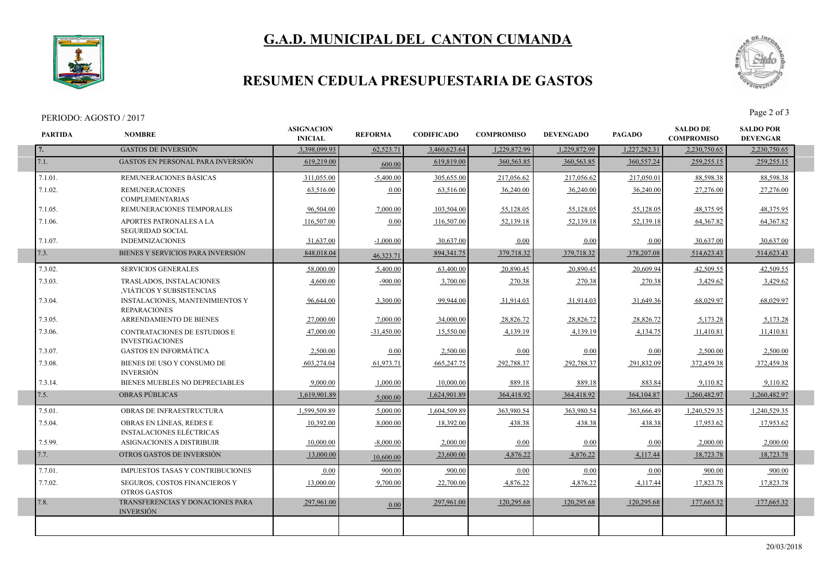# **G.A.D. MUNICIPAL DEL CANTON CUMANDA**



### **RESUMEN CEDULA PRESUPUESTARIA DE GASTOS**

#### PERIODO: AGOSTO / 2017<br>Page 2 of 3

I



| <b>PARTIDA</b> | <b>NOMBRE</b>                                                 | <b>ASIGNACION</b><br><b>INICIAL</b> | <b>REFORMA</b> | <b>CODIFICADO</b> | <b>COMPROMISO</b> | <b>DEVENGADO</b> | <b>PAGADO</b> | <b>SALDO DE</b><br><b>COMPROMISO</b> | <b>SALDO POR</b><br><b>DEVENGAR</b> |  |
|----------------|---------------------------------------------------------------|-------------------------------------|----------------|-------------------|-------------------|------------------|---------------|--------------------------------------|-------------------------------------|--|
| 7.             | <b>GASTOS DE INVERSIÓN</b>                                    | 3.398.099.93                        | 62,523.71      | 3.460.623.64      | 1.229.872.99      | 1.229.872.99     | 1,227,282.31  | 2,230,750.65                         | 2,230,750.65                        |  |
| 7.1.           | <b>GASTOS EN PERSONAL PARA INVERSIÓN</b>                      | 619.219.00                          | 600.00         | 619,819.00        | 360, 563, 85      | 360, 563, 85     | 360,557.24    | 259, 255, 15                         | 259,255.15                          |  |
| 7.1.01.        | REMUNERACIONES BÁSICAS                                        | 311,055.00                          | $-5,400.00$    | 305,655.00        | 217,056.62        | 217,056.62       | 217,050.01    | 88,598.38                            | 88,598.38                           |  |
| 7.1.02.        | <b>REMUNERACIONES</b><br><b>COMPLEMENTARIAS</b>               | 63,516.00                           | 0.00           | 63,516.00         | 36,240.00         | 36,240.00        | 36,240.00     | 27,276.00                            | 27,276.00                           |  |
| 7.1.05.        | REMUNERACIONES TEMPORALES                                     | 96,504.00                           | 7,000.00       | 103,504.00        | 55,128.05         | 55,128.05        | 55,128.05     | 48,375.95                            | 48,375.95                           |  |
| 7.1.06.        | APORTES PATRONALES A LA<br><b>SEGURIDAD SOCIAL</b>            | 116,507.00                          | 0.00           | 116,507.00        | 52,139.18         | 52,139.18        | 52,139.18     | 64, 367. 82                          | 64,367.82                           |  |
| 7.1.07.        | <b>INDEMNIZACIONES</b>                                        | 31,637.00                           | $-1,000.00$    | 30,637.00         | 0.00              | 0.00             | 0.00          | 30.637.00                            | 30.637.00                           |  |
| 7.3.           | BIENES Y SERVICIOS PARA INVERSIÓN                             | 848,018.04                          | 46.323.71      | 894, 341. 75      | 379,718.32        | 379,718.32       | 378,207.08    | 514,623.43                           | 514,623.43                          |  |
| 7.3.02.        | <b>SERVICIOS GENERALES</b>                                    | 58,000.00                           | 5.400.00       | 63,400.00         | 20,890.45         | 20,890.45        | 20.609.94     | 42,509.55                            | 42.509.55                           |  |
| 7.3.03.        | TRASLADOS, INSTALACIONES<br>VIÁTICOS Y SUBSISTENCIAS          | 4,600.00                            | $-900.00$      | 3,700.00          | 270.38            | 270.38           | 270.38        | 3,429.62                             | 3,429.62                            |  |
| 7.3.04.        | <b>INSTALACIONES, MANTENIMIENTOS Y</b><br><b>REPARACIONES</b> | 96,644.00                           | 3,300.00       | 99,944.00         | 31,914.03         | 31,914.03        | 31,649.36     | 68,029.97                            | 68,029.97                           |  |
| 7.3.05.        | ARRENDAMIENTO DE BIENES                                       | 27,000.00                           | 7.000.00       | 34,000.00         | 28,826.72         | 28,826.72        | 28,826.72     | 5,173.28                             | 5,173.28                            |  |
| 7.3.06.        | <b>CONTRATACIONES DE ESTUDIOS E</b><br><b>INVESTIGACIONES</b> | 47,000.00                           | $-31.450.00$   | 15,550.00         | 4,139.19          | 4,139.19         | 4,134.75      | 11,410.81                            | 11,410.81                           |  |
| 7.3.07.        | <b>GASTOS EN INFORMÁTICA</b>                                  | 2,500.00                            | 0.00           | 2,500.00          | 0.00              | 0.00             | 0.00          | 2,500.00                             | 2,500.00                            |  |
| 7.3.08.        | BIENES DE USO Y CONSUMO DE<br><b>INVERSIÓN</b>                | 603,274.04                          | 61,973.71      | 665,247.75        | 292,788.37        | 292,788.37       | 291,832.09    | 372,459.38                           | 372,459.38                          |  |
| 7.3.14.        | BIENES MUEBLES NO DEPRECIABLES                                | 9,000.00                            | 1.000.00       | 10,000.00         | 889.18            | 889.18           | 883.84        | 9,110.82                             | 9,110.82                            |  |
| 7.5.           | <b>OBRAS PÚBLICAS</b>                                         | 1,619,901.89                        | 5,000.00       | 1,624,901.89      | 364,418.92        | 364,418.92       | 364, 104.87   | 1,260,482.97                         | 1,260,482.97                        |  |
| 7.5.01.        | OBRAS DE INFRAESTRUCTURA                                      | 1,599,509.89                        | 5,000.00       | 1,604,509.89      | 363,980.54        | 363,980.54       | 363,666.49    | 1,240,529.35                         | 1,240,529.35                        |  |
| 7.5.04.        | OBRAS EN LÍNEAS, REDES E<br><b>INSTALACIONES ELÉCTRICAS</b>   | 10,392.00                           | 8.000.00       | 18,392.00         | 438.38            | 438.38           | 438.38        | 17,953.62                            | 17,953.62                           |  |
| 7.5.99.        | ASIGNACIONES A DISTRIBUIR                                     | 10,000.00                           | $-8,000.00$    | 2,000.00          | 0.00              | 0.00             | 0.00          | 2,000.00                             | 2,000.00                            |  |
| 7.7.           | OTROS GASTOS DE INVERSIÓN                                     | 13,000.00                           | 10,600.00      | 23,600.00         | 4,876.22          | 4,876.22         | 4,117.44      | 18,723.78                            | 18,723.78                           |  |
| 7.7.01.        | <b>IMPUESTOS TASAS Y CONTRIBUCIONES</b>                       | 0.00                                | 900.00         | 900.00            | 0.00              | 0.00             | 0.00          | 900.00                               | 900.00                              |  |
| 7.7.02.        | SEGUROS, COSTOS FINANCIEROS Y<br><b>OTROS GASTOS</b>          | 13,000.00                           | 9,700.00       | 22,700.00         | 4,876.22          | 4,876.22         | 4,117.44      | 17,823.78                            | 17,823.78                           |  |
| 7.8.           | TRANSFERENCIAS Y DONACIONES PARA<br><b>INVERSIÓN</b>          | 297,961.00                          | 0.00           | 297,961.00        | 120,295.68        | 120,295.68       | 120,295.68    | 177,665.32                           | 177,665.32                          |  |
|                |                                                               |                                     |                |                   |                   |                  |               |                                      |                                     |  |